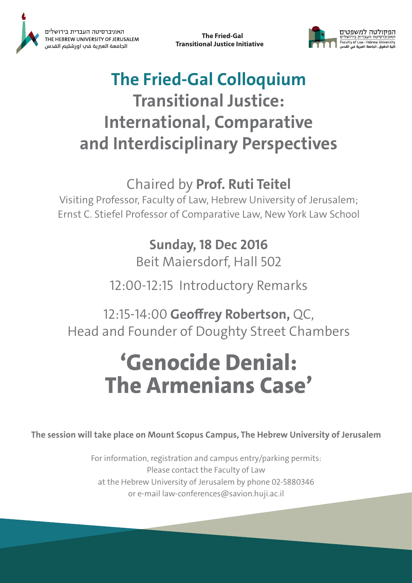

The Fried-Gal **Transitional Justice Initiative** 



### **The Fried-Gal Colloquium Transitional Justice: International, Comparative** and Interdisciplinary Perspectives

#### Chaired by Prof. Ruti Teitel

Visiting Professor, Faculty of Law, Hebrew University of Jerusalem; Ernst C. Stiefel Professor of Comparative Law, New York Law School

# **Sunday, 18 Dec 2016**

Beit Maiersdorf, Hall 502

12:00-12:15 Introductory Remarks

12:15-14:00 Geoffrey Robertson, QC, Head and Founder of Doughty Street Chambers

## 'Genocide Denial: **The Armenians Case'**

The session will take place on Mount Scopus Campus, The Hebrew University of Jerusalem

For information, registration and campus entry/parking permits: Please contact the Faculty of Law at the Hebrew University of Jerusalem by phone 02-5880346 or e-mail law-conferences@savion.huji.ac.il